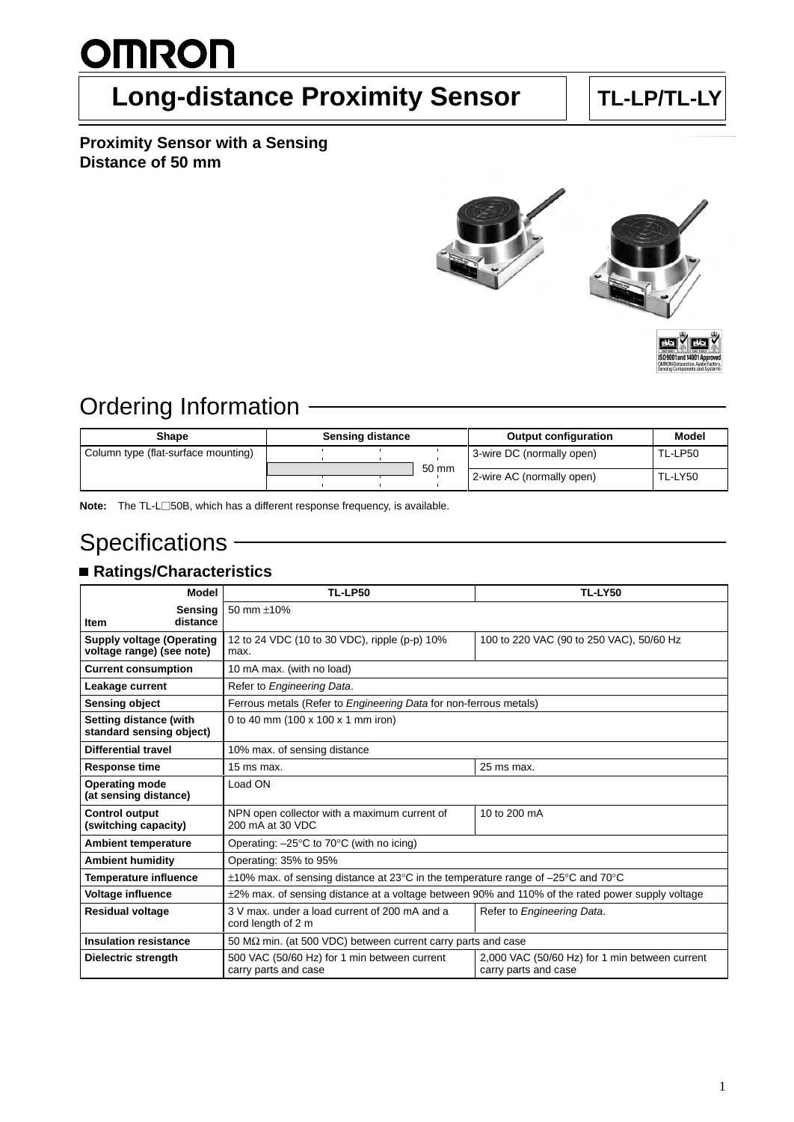# **OMRON**

## **Long-distance Proximity Sensor | TL-LP/TL-LY**

#### **Proximity Sensor with a Sensing Distance of 50 mm**





### Ordering Information

| Shape                               | <b>Sensing distance</b> |  | <b>Output configuration</b> | <b>Model</b>              |                |
|-------------------------------------|-------------------------|--|-----------------------------|---------------------------|----------------|
| Column type (flat-surface mounting) |                         |  |                             | 3-wire DC (normally open) | TL-LP50        |
|                                     |                         |  | 50 mm                       | 2-wire AC (normally open) | <b>TL-LY50</b> |

**Note:** The TL-L□50B, which has a different response frequency, is available.

### **Specifications**

### **Ratings/Characteristics**

| <b>Model</b>                                                                                | <b>TL-LP50</b>                                                                                        | <b>TL-LY50</b>                                                         |  |
|---------------------------------------------------------------------------------------------|-------------------------------------------------------------------------------------------------------|------------------------------------------------------------------------|--|
| Sensina                                                                                     | 50 mm ±10%                                                                                            |                                                                        |  |
| distance<br><b>Item</b>                                                                     |                                                                                                       |                                                                        |  |
| <b>Supply voltage (Operating</b><br>voltage range) (see note)                               | 12 to 24 VDC (10 to 30 VDC), ripple (p-p) 10%<br>max.                                                 | 100 to 220 VAC (90 to 250 VAC), 50/60 Hz                               |  |
| <b>Current consumption</b>                                                                  | 10 mA max. (with no load)                                                                             |                                                                        |  |
| Leakage current                                                                             | Refer to Engineering Data.                                                                            |                                                                        |  |
| <b>Sensing object</b>                                                                       | Ferrous metals (Refer to Engineering Data for non-ferrous metals)                                     |                                                                        |  |
| <b>Setting distance (with</b><br>standard sensing object)                                   | 0 to 40 mm (100 x 100 x 1 mm iron)                                                                    |                                                                        |  |
| <b>Differential travel</b>                                                                  | 10% max. of sensing distance                                                                          |                                                                        |  |
| <b>Response time</b>                                                                        | 15 ms max.                                                                                            | 25 ms max.                                                             |  |
| <b>Operating mode</b><br>(at sensing distance)                                              | Load ON                                                                                               |                                                                        |  |
| <b>Control output</b><br>(switching capacity)                                               | NPN open collector with a maximum current of<br>200 mA at 30 VDC                                      | 10 to 200 mA                                                           |  |
| <b>Ambient temperature</b>                                                                  | Operating: $-25^{\circ}$ C to 70 $^{\circ}$ C (with no icing)                                         |                                                                        |  |
| <b>Ambient humidity</b>                                                                     | Operating: 35% to 95%                                                                                 |                                                                        |  |
| <b>Temperature influence</b>                                                                | $\pm$ 10% max. of sensing distance at 23°C in the temperature range of -25°C and 70°C                 |                                                                        |  |
| <b>Voltage influence</b>                                                                    | $\pm$ 2% max. of sensing distance at a voltage between 90% and 110% of the rated power supply voltage |                                                                        |  |
| <b>Residual voltage</b>                                                                     | 3 V max, under a load current of 200 mA and a<br>cord length of 2 m                                   | Refer to Engineering Data.                                             |  |
| <b>Insulation resistance</b>                                                                | 50 M $\Omega$ min. (at 500 VDC) between current carry parts and case                                  |                                                                        |  |
| 500 VAC (50/60 Hz) for 1 min between current<br>Dielectric strength<br>carry parts and case |                                                                                                       | 2,000 VAC (50/60 Hz) for 1 min between current<br>carry parts and case |  |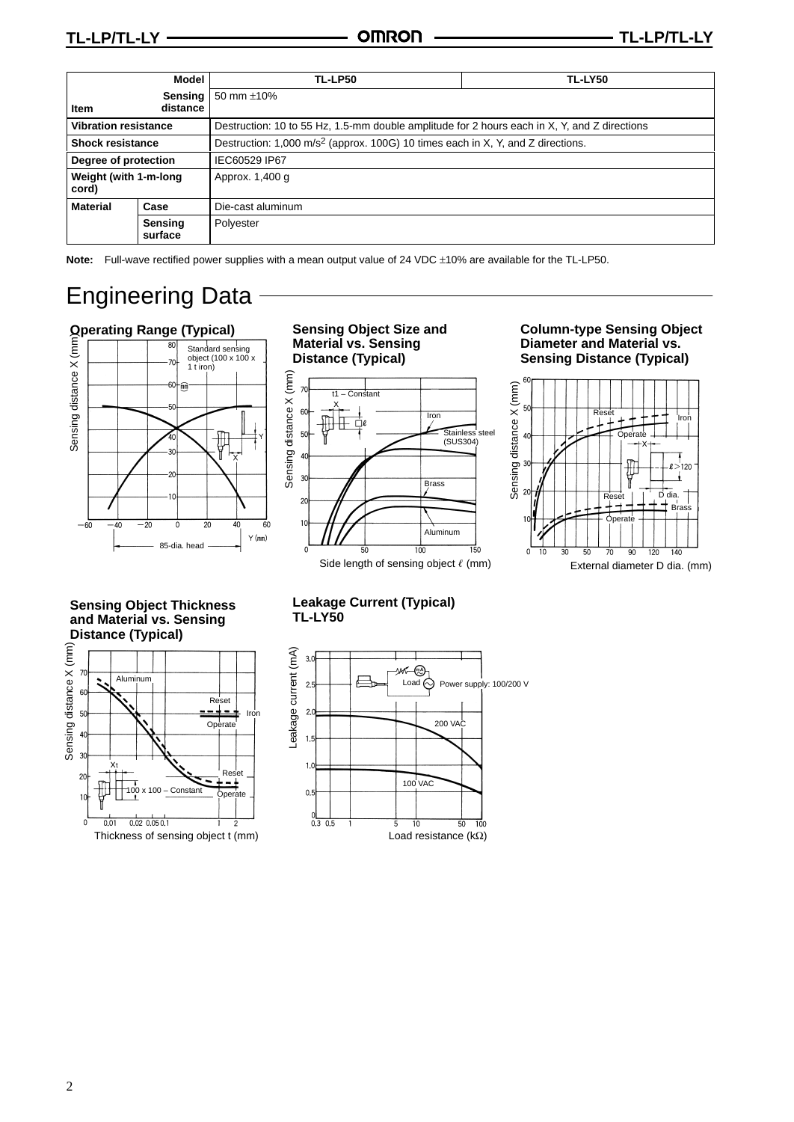|                                | <b>Model</b>        | TL-LP50                                                                                      | <b>TL-LY50</b> |  |
|--------------------------------|---------------------|----------------------------------------------------------------------------------------------|----------------|--|
| Item                           | Sensing<br>distance | 50 mm $\pm$ 10%                                                                              |                |  |
| <b>Vibration resistance</b>    |                     | Destruction: 10 to 55 Hz, 1.5-mm double amplitude for 2 hours each in X, Y, and Z directions |                |  |
| <b>Shock resistance</b>        |                     | Destruction: 1,000 m/s <sup>2</sup> (approx. 100G) 10 times each in X, Y, and Z directions.  |                |  |
| Degree of protection           |                     | IEC60529 IP67                                                                                |                |  |
| Weight (with 1-m-long<br>cord) |                     | Approx. 1,400 g                                                                              |                |  |
| <b>Material</b>                | Case                | Die-cast aluminum                                                                            |                |  |
|                                | Sensing<br>surface  | Polyester                                                                                    |                |  |

**Note:** Full-wave rectified power supplies with a mean output value of 24 VDC ±10% are available for the TL-LP50.

### Engineering Data

#### **Operating Range (Typical) Sensing Object Size and**



**Material vs. Sensing Distance (Typical)**



#### **Column-type Sensing Object Diameter and Material vs. Sensing Distance (Typical)**



**Sensing Object Thickness and Material vs. Sensing Distance (Typical)**



#### **Leakage Current (Typical) TL-LY50**

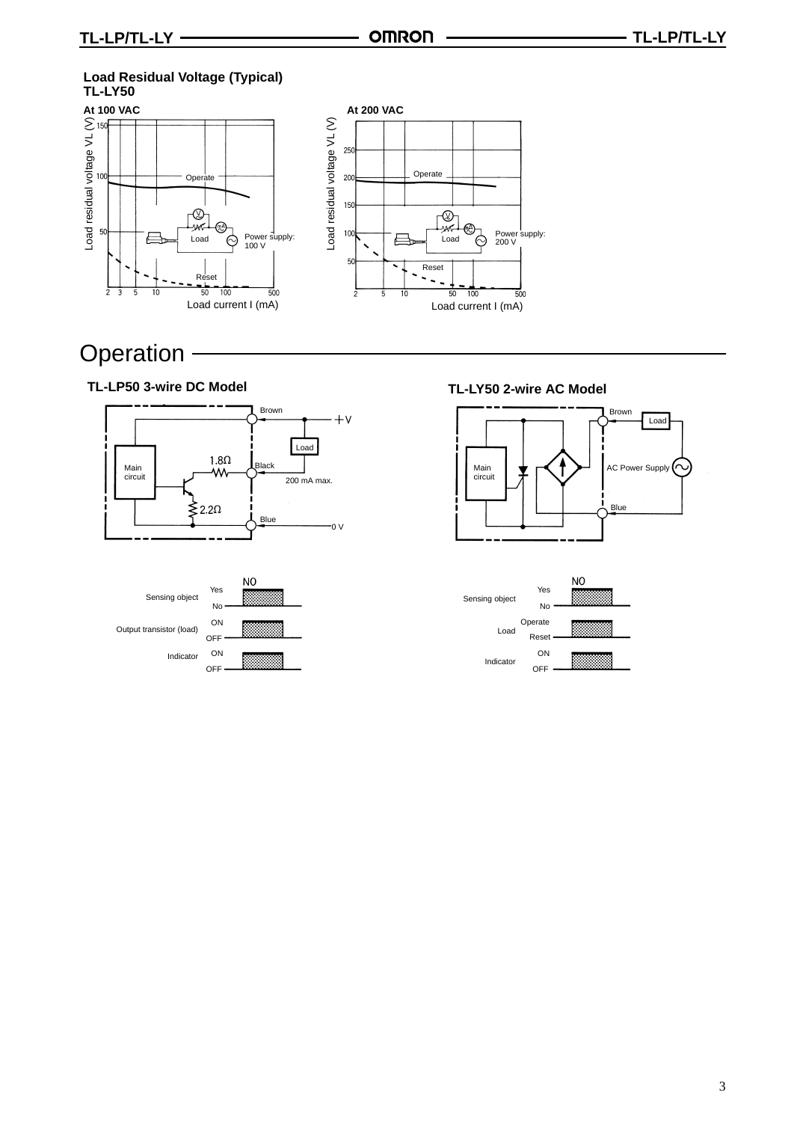#### **Load Residual Voltage (Typical) TL-LY50**





### **Operation**

**TL-LP50 3-wire DC Model**





**TL-LY50 2-wire AC Model**